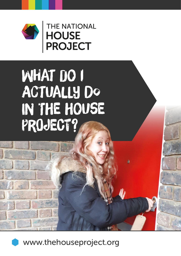

THE NATIONAL

# WHAT DO T ACTUALLY DO IN THE HOUSE PROJECT?



www.thehouseproject.org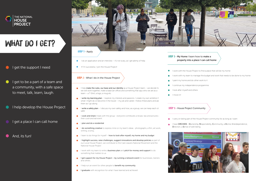

## WHAT DO I GET?

### I get the support I need

- $\bullet$ I get to be a part of a team and a community, with a safe space to meet, talk, learn, laugh.
- **I** help develop the House Project
- I get a place I can call home
- And, its fun!



#### STEP 1 - Apply

- I do an application and an interview it's not scary, as I get plenty of help.
- If I'm successful, I join the House Project!

#### **STEP 2** - What I do in the House Project

- I help make the rules, our base and our identity as a House Project team we decide how we will work together, make a base (an office) and something that says who we are as a team – a T-Shirt, a logo, a mug etc
- I write my learning plan I explore my interests and passions. I create my own ambition f what I might do or become in the future – my job and career. I follow these plans and adaption them as I go along
- $\bullet$  I write a safety plan I discuss my own safety and how, as a group, we can keep each other safer
- **Look and share** meals with the group everyone contributes a recipe, tips and pictures their cook and eat event
- I plan and do a residential
- I do something creative to express mine or my team's ideas photographs, a film, art work, writing, a song…
- I learn to do things for myself how to look after myself, my home and my budget
- I highlight success, raise challenges, suggest innovations and develop policies as part of our Local House Project, we contribute to the Care Leavers National Movement and the National House Project
- I work with my team to write a **business plan** and **pitch for money and support** to do something that matters to us
- I get support for my House Project by running a network event for businesses, trainers and others
- **•** I help run an event for other people to **benefit my community**.
- **I graduate** with recognition for what I have learned and achieved

#### **STEP 3 - My Home I learn how to make a** property into a place I can call home

- I work with the House Project to find a place that will be my home
- I work with my team to manage the budget and work that needs to be done to my home
- I paint my home and do other work to it
- I continue my independence programme
- **•** I look after myself and others
- **•** I move in!

#### **STEP 4 - House Project Community**

- I carry on being part of the House Project community for as long as I want
- I have ORCHIDS Ownership, Responsibility, Community, a Home, Interdependence, Direction, a Sense of well-being.